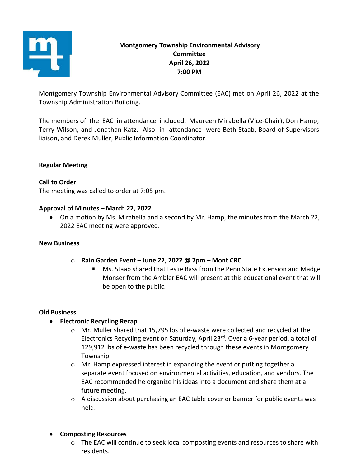

# **Montgomery Township Environmental Advisory Committee April 26, 2022 7:00 PM**

Montgomery Township Environmental Advisory Committee (EAC) met on April 26, 2022 at the Township Administration Building.

The members of the EAC in attendance included: Maureen Mirabella (Vice-Chair), Don Hamp, Terry Wilson, and Jonathan Katz. Also in attendance were Beth Staab, Board of Supervisors liaison, and Derek Muller, Public Information Coordinator.

## **Regular Meeting**

#### **Call to Order**

The meeting was called to order at 7:05 pm.

#### **Approval of Minutes – March 22, 2022**

• On a motion by Ms. Mirabella and a second by Mr. Hamp, the minutes from the March 22, 2022 EAC meeting were approved.

#### **New Business**

- o **Rain Garden Event – June 22, 2022 @ 7pm – Mont CRC**
	- Ms. Staab shared that Leslie Bass from the Penn State Extension and Madge Monser from the Ambler EAC will present at this educational event that will be open to the public.

#### **Old Business**

#### • **Electronic Recycling Recap**

- o Mr. Muller shared that 15,795 lbs of e-waste were collected and recycled at the Electronics Recycling event on Saturday, April 23rd. Over a 6-year period, a total of 129,912 lbs of e-waste has been recycled through these events in Montgomery Township.
- $\circ$  Mr. Hamp expressed interest in expanding the event or putting together a separate event focused on environmental activities, education, and vendors. The EAC recommended he organize his ideas into a document and share them at a future meeting.
- o A discussion about purchasing an EAC table cover or banner for public events was held.

#### • **Composting Resources**

 $\circ$  The EAC will continue to seek local composting events and resources to share with residents.